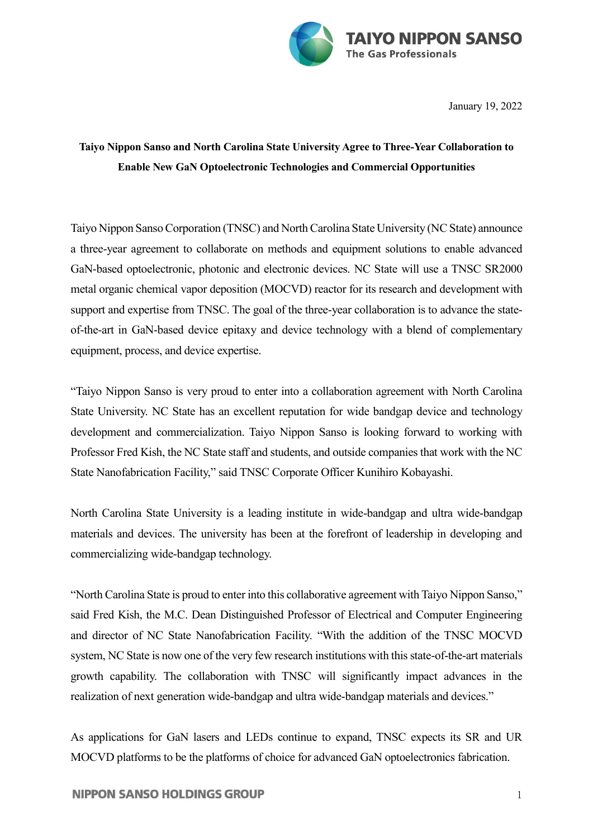

January 19, 2022

## **Taiyo Nippon Sanso and North Carolina State University Agree to Three-Year Collaboration to Enable New GaN Optoelectronic Technologies and Commercial Opportunities**

Taiyo Nippon Sanso Corporation (TNSC) and North Carolina State University (NC State) announce a three-year agreement to collaborate on methods and equipment solutions to enable advanced GaN-based optoelectronic, photonic and electronic devices. NC State will use a TNSC SR2000 metal organic chemical vapor deposition (MOCVD) reactor for its research and development with support and expertise from TNSC. The goal of the three-year collaboration is to advance the stateof-the-art in GaN-based device epitaxy and device technology with a blend of complementary equipment, process, and device expertise.

"Taiyo Nippon Sanso is very proud to enter into a collaboration agreement with North Carolina State University. NC State has an excellent reputation for wide bandgap device and technology development and commercialization. Taiyo Nippon Sanso is looking forward to working with Professor Fred Kish, the NC State staff and students, and outside companies that work with the NC State Nanofabrication Facility," said TNSC Corporate Officer Kunihiro Kobayashi.

North Carolina State University is a leading institute in wide-bandgap and ultra wide-bandgap materials and devices. The university has been at the forefront of leadership in developing and commercializing wide-bandgap technology.

"North Carolina State is proud to enter into this collaborative agreement with Taiyo Nippon Sanso," said Fred Kish, the M.C. Dean Distinguished Professor of Electrical and Computer Engineering and director of NC State Nanofabrication Facility. "With the addition of the TNSC MOCVD system, NC State is now one of the very few research institutions with this state-of-the-art materials growth capability. The collaboration with TNSC will significantly impact advances in the realization of next generation wide-bandgap and ultra wide-bandgap materials and devices."

As applications for GaN lasers and LEDs continue to expand, TNSC expects its SR and UR MOCVD platforms to be the platforms of choice for advanced GaN optoelectronics fabrication.